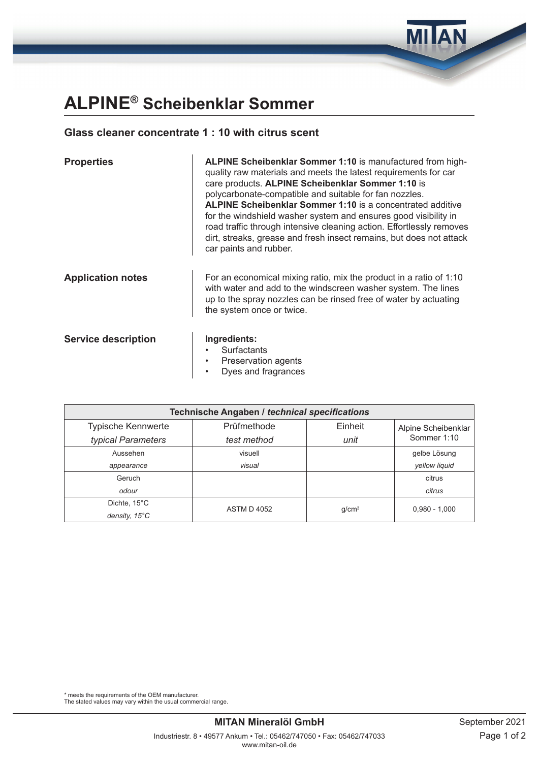## **ALPINE® Scheibenklar Sommer**

## **Glass cleaner concentrate 1 : 10 with citrus scent**

| <b>Properties</b>          | ALPINE Scheibenklar Sommer 1:10 is manufactured from high-<br>quality raw materials and meets the latest requirements for car<br>care products. ALPINE Scheibenklar Sommer 1:10 is<br>polycarbonate-compatible and suitable for fan nozzles.<br><b>ALPINE Scheibenklar Sommer 1:10</b> is a concentrated additive<br>for the windshield washer system and ensures good visibility in<br>road traffic through intensive cleaning action. Effortlessly removes<br>dirt, streaks, grease and fresh insect remains, but does not attack<br>car paints and rubber. |  |
|----------------------------|---------------------------------------------------------------------------------------------------------------------------------------------------------------------------------------------------------------------------------------------------------------------------------------------------------------------------------------------------------------------------------------------------------------------------------------------------------------------------------------------------------------------------------------------------------------|--|
| <b>Application notes</b>   | For an economical mixing ratio, mix the product in a ratio of 1:10<br>with water and add to the windscreen washer system. The lines<br>up to the spray nozzles can be rinsed free of water by actuating<br>the system once or twice.                                                                                                                                                                                                                                                                                                                          |  |
| <b>Service description</b> | Ingredients:<br>Surfactants<br>Preservation agents<br>Dyes and fragrances                                                                                                                                                                                                                                                                                                                                                                                                                                                                                     |  |

| <b>Technische Angaben / technical specifications</b> |                        |                   |                     |  |  |  |  |
|------------------------------------------------------|------------------------|-------------------|---------------------|--|--|--|--|
| <b>Typische Kennwerte</b>                            | Prüfmethode<br>Einheit |                   | Alpine Scheibenklar |  |  |  |  |
| typical Parameters                                   | test method            | unit              | Sommer 1:10         |  |  |  |  |
| Aussehen                                             | visuell                |                   |                     |  |  |  |  |
| appearance                                           | visual                 |                   | vellow liquid       |  |  |  |  |
| Geruch                                               |                        |                   | citrus              |  |  |  |  |
| odour                                                |                        |                   | citrus              |  |  |  |  |
| Dichte, 15°C                                         | <b>ASTM D 4052</b>     | g/cm <sup>3</sup> | $0,980 - 1,000$     |  |  |  |  |
| density, $15^{\circ}$ C                              |                        |                   |                     |  |  |  |  |

\* meets the requirements of the OEM manufacturer.

The stated values may vary within the usual commercial range.

**MILAN**